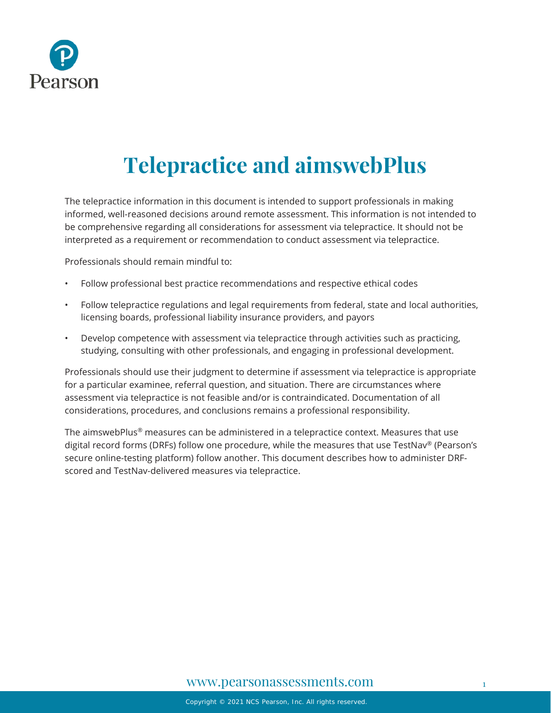

# **Telepractice and aimswebPlus**

The telepractice information in this document is intended to support professionals in making informed, well-reasoned decisions around remote assessment. This information is not intended to be comprehensive regarding all considerations for assessment via telepractice. It should not be interpreted as a requirement or recommendation to conduct assessment via telepractice.

Professionals should remain mindful to:

- Follow professional best practice recommendations and respective ethical codes
- Follow telepractice regulations and legal requirements from federal, state and local authorities, licensing boards, professional liability insurance providers, and payors
- Develop competence with assessment via telepractice through activities such as practicing, studying, consulting with other professionals, and engaging in professional development.

Professionals should use their judgment to determine if assessment via telepractice is appropriate for a particular examinee, referral question, and situation. There are circumstances where assessment via telepractice is not feasible and/or is contraindicated. Documentation of all considerations, procedures, and conclusions remains a professional responsibility.

The aimswebPlus<sup>®</sup> measures can be administered in a telepractice context. Measures that use digital record forms (DRFs) follow one procedure, while the measures that use TestNav® (Pearson's secure online-testing platform) follow another. This document describes how to administer DRFscored and TestNav-delivered measures via telepractice.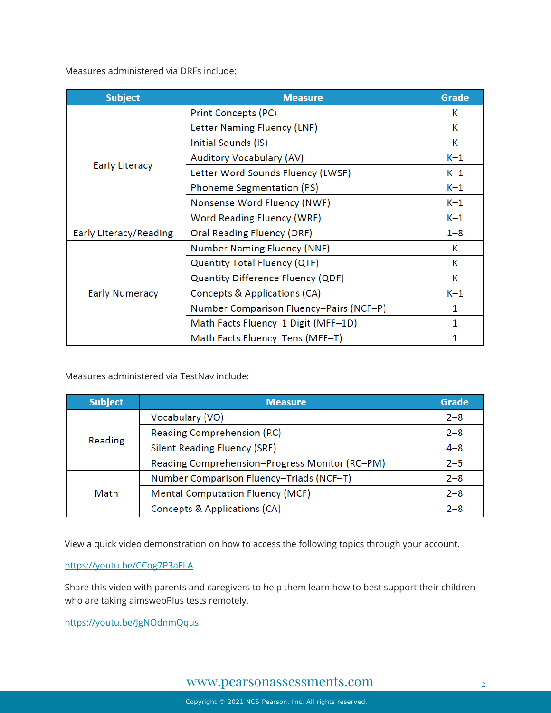[Measures administered via DRFs include:](https://www.pearsonassessments.com/professional-assessments/digital-solutions/telepractice/telepractice-and-aimswebplus.html)

| <b>Subject</b>         | <b>Measure</b>                          | Grade   |
|------------------------|-----------------------------------------|---------|
| <b>Early Literacy</b>  | Print Concepts (PC)                     | К       |
|                        | Letter Naming Fluency (LNF)             | Κ       |
|                        | Initial Sounds (IS)                     | Κ       |
|                        | Auditory Vocabulary (AV)                | $K-1$   |
|                        | Letter Word Sounds Fluency (LWSF)       | $K-1$   |
|                        | Phoneme Segmentation (PS)               | $K-1$   |
|                        | Nonsense Word Fluency (NWF)             | $K-1$   |
|                        | Word Reading Fluency (WRF)              | $K-1$   |
| Early Literacy/Reading | Oral Reading Fluency (ORF)              | $1 - 8$ |
| <b>Early Numeracy</b>  | <b>Number Naming Fluency (NNF)</b>      | К       |
|                        | Quantity Total Fluency (QTF)            | К       |
|                        | Quantity Difference Fluency (QDF)       | К       |
|                        | Concepts & Applications (CA)            | $K-1$   |
|                        | Number Comparison Fluency-Pairs (NCF-P) | 1       |
|                        | Math Facts Fluency-1 Digit (MFF-1D)     | 1       |
|                        | Math Facts Fluency–Tens (MFF–T)         | 1       |

[Measures administered via TestNav include:](https://www.pearsonassessments.com/professional-assessments/digital-solutions/telepractice/telepractice-and-aimswebplus.html)

| <b>Subject</b> | <b>Measure</b>                                 | <b>Grade</b> |
|----------------|------------------------------------------------|--------------|
| Reading        | Vocabulary (VO)                                | $2 - 8$      |
|                | Reading Comprehension (RC)                     | $2 - 8$      |
|                | <b>Silent Reading Fluency (SRF)</b>            | $4 - 8$      |
|                | Reading Comprehension-Progress Monitor (RC-PM) | $2 - 5$      |
| Math           | Number Comparison Fluency-Triads (NCF-T)       | $2 - 8$      |
|                | <b>Mental Computation Fluency (MCF)</b>        | $2 - 8$      |
|                | Concepts & Applications (CA)                   | $2 - 8$      |

[View a quick video demonstration on how to access the following topics through your account.](https://youtu.be/CCog7P3aFLA)

#### <https://youtu.be/CCog7P3aFLA>

[Share this video with parents and caregivers to help them learn how to best support their children](https://youtu.be/JgNOdnmQqus)  [who are taking aimswebPlus tests remotely.](https://youtu.be/JgNOdnmQqus) 

<https://youtu.be/JgNOdnmQqus>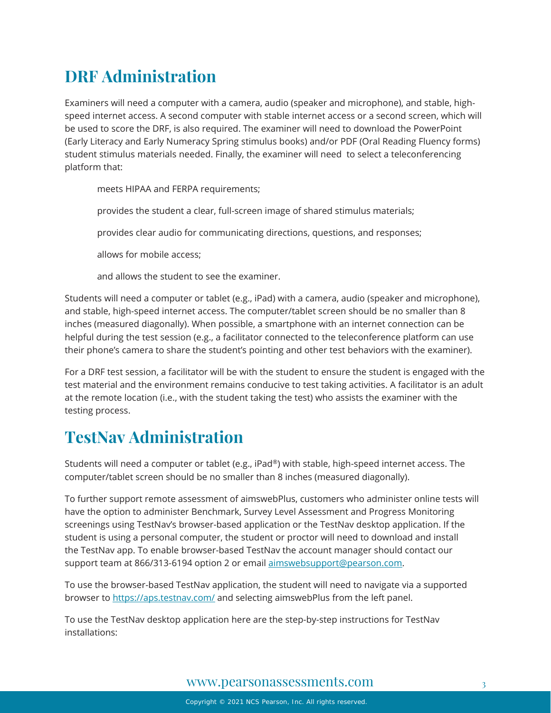# **DRF Administration**

Examiners will need a computer with a camera, audio (speaker and microphone), and stable, highspeed internet access. A second computer with stable internet access or a second screen, which will be used to score the DRF, is also required. The examiner will need to download the PowerPoint (Early Literacy and Early Numeracy Spring stimulus books) and/or PDF (Oral Reading Fluency forms) student stimulus materials needed. Finally, the examiner will need to select a teleconferencing platform that:

meets HIPAA and FERPA requirements;

provides the student a clear, full-screen image of shared stimulus materials;

provides clear audio for communicating directions, questions, and responses;

allows for mobile access;

and allows the student to see the examiner.

Students will need a computer or tablet (e.g., iPad) with a camera, audio (speaker and microphone), and stable, high-speed internet access. The computer/tablet screen should be no smaller than 8 inches (measured diagonally). When possible, a smartphone with an internet connection can be helpful during the test session (e.g., a facilitator connected to the teleconference platform can use their phone's camera to share the student's pointing and other test behaviors with the examiner).

For a DRF test session, a facilitator will be with the student to ensure the student is engaged with the test material and the environment remains conducive to test taking activities. A facilitator is an adult at the remote location (i.e., with the student taking the test) who assists the examiner with the testing process.

# **TestNav Administration**

Students will need a computer or tablet (e.g., iPad®) with stable, high-speed internet access. The computer/tablet screen should be no smaller than 8 inches (measured diagonally).

To further support remote assessment of aimswebPlus, customers who administer online tests will have the option to administer Benchmark, Survey Level Assessment and Progress Monitoring screenings using TestNav's browser-based application or the TestNav desktop application. If the student is using a personal computer, the student or proctor will need to download and install the [TestNav app.](https://download.testnav.com/) To enable browser-based TestNav the account manager should contact our support team at 866/313-6194 option 2 or email [aimswebsupport@pearson.com.](mailto:aimswebsupport@pearson.com)

To use the browser-based TestNav application, the student will need to navigate via a supported browser to<https://aps.testnav.com/> and selecting aimswebPlus from the left panel.

To use the TestNav desktop application here are the step-by-step instructions for TestNav installations: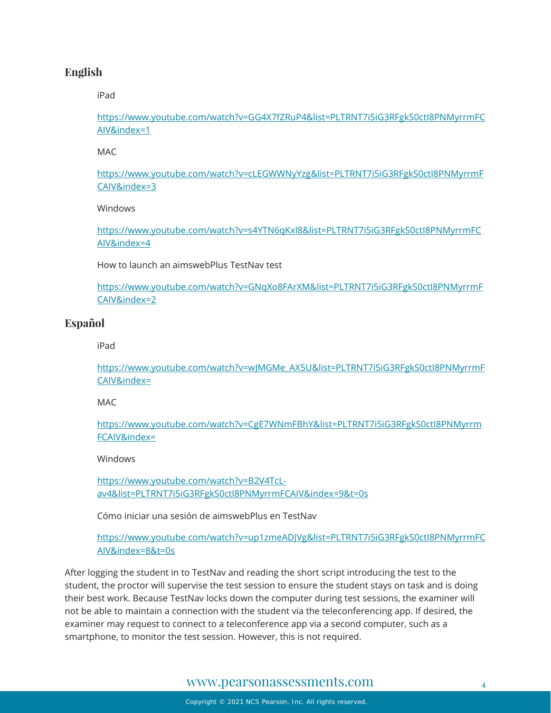#### **English**

[iPad](https://www.youtube.com/watch?v=GG4X7fZRuP4&list=PLTRNT7i5iG3RFgkS0ctI8PNMyrrmFCAIV&index=1)

https://www.youtube.com/watch?v=GG4X7fZRuP4&list=PLTRNT7i5iG3RFgkS0ctI8PNMyrrmFC AIV&index=1

[MAC](https://www.youtube.com/watch?v=cLEGWWNyYzg&list=PLTRNT7i5iG3RFgkS0ctI8PNMyrrmFCAIV&index=3) 

https://www.youtube.com/watch?v=cLEGWWNyYzg&list=PLTRNT7i5iG3RFgkS0ctI8PNMyrrmF CAIV&index=3

[Windows](https://www.youtube.com/watch?v=s4YTN6qKxl8&list=PLTRNT7i5iG3RFgkS0ctI8PNMyrrmFCAIV&index=4) 

https://www.youtube.com/watch?v=s4YTN6qKxl8&list=PLTRNT7i5iG3RFgkS0ctI8PNMyrrmFC AIV&index=4

[How to launch an aimswebPlus TestNav test](https://www.youtube.com/watch?v=GNqXo8FArXM&list=PLTRNT7i5iG3RFgkS0ctI8PNMyrrmFCAIV&index=2) 

https://www.youtube.com/watch?v=GNqXo8FArXM&list=PLTRNT7i5iG3RFgkS0ctI8PNMyrrmF CAIV&index=2

#### **Español**

[iPad](https://www.youtube.com/watch?v=wJMGMe_AX5U&list=PLTRNT7i5iG3RFgkS0ctI8PNMyrrmFCAIV&index=)

https://www.youtube.com/watch?v=wJMGMe\_AX5U&list=PLTRNT7i5iG3RFgkS0ctI8PNMyrrmF CAIV&index=

M<sub>AC</sub>

https://www.youtube.com/watch?v=CgE7WNmFBhY&list=PLTRNT7i5iG3RFgkS0ctI8PNMyrrm FCAIV&index=

**Windows** 

https://www.youtube.com/watch?v=B2V4TcLav4&list=PLTRNT7i5iG3RFgkS0ctI8PNMyrrmFCAIV&index=9&t=0s

[Cómo iniciar una sesión de aimswebPlus en TestNav](https://www.youtube.com/watch?v=up1zmeADJVg&list=PLTRNT7i5iG3RFgkS0ctI8PNMyrrmFCAIV&index=8&t=0s) 

https://www.youtube.com/watch?v=up1zmeADJVg&list=PLTRNT7i5iG3RFgkS0ctI8PNMyrrmFC AIV&index=8&t=0s

After logging the student in to TestNav and reading the short script introducing the test to the student, the proctor will supervise the test session to ensure the student stays on task and is doing their best work. Because TestNav locks down the computer during test sessions, the examiner will not be able to maintain a connection with the student via the teleconferencing app. If desired, the examiner may request to connect to a teleconference app via a second computer, such as a smartphone, to monitor the test session. However, this is not required.

#### [www.pearsonassessments.com](http://www.pearsonassessments.com/) <sup>4</sup>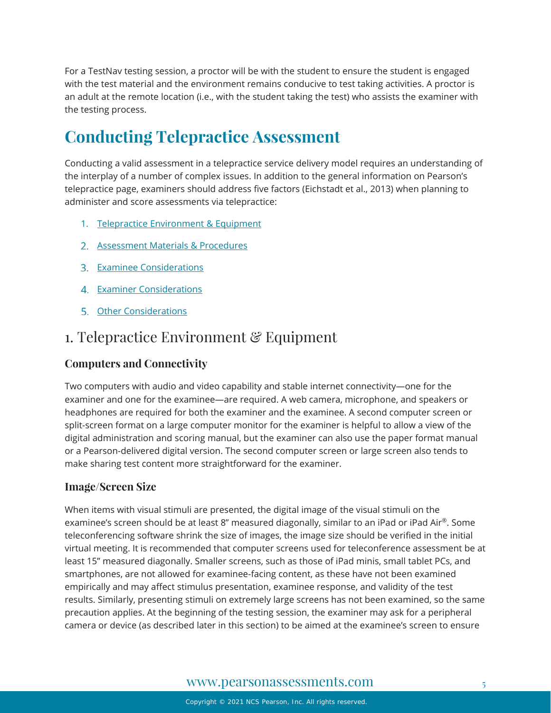For a TestNav testing session, a proctor will be with the student to ensure the student is engaged with the test material and the environment remains conducive to test taking activities. A proctor is an adult at the remote location (i.e., with the student taking the test) who assists the examiner with the testing process.

# **Conducting Telepractice Assessment**

Conducting a valid assessment in a telepractice service delivery model requires an understanding of the interplay of a number of complex issues. In addition to the general information on Pearson's telepractice page, examiners should address five factors (Eichstadt et al., 2013) when planning to administer and score assessments via telepractice:

- 1. [Telepractice Environment & Equipment](#page-4-0)
- 2. [Assessment Materials & Procedures](#page-6-0)
- 3. [Examinee Considerations](#page-8-0)
- 4. [Examiner Considerations](#page-9-0)
- 5. [Other Considerations](#page-10-0)

### <span id="page-4-0"></span>1. Telepractice Environment & Equipment

#### **Computers and Connectivity**

Two computers with audio and video capability and stable internet connectivity—one for the examiner and one for the examinee—are required. A web camera, microphone, and speakers or headphones are required for both the examiner and the examinee. A second computer screen or split-screen format on a large computer monitor for the examiner is helpful to allow a view of the digital administration and scoring manual, but the examiner can also use the paper format manual or a Pearson-delivered digital version. The second computer screen or large screen also tends to make sharing test content more straightforward for the examiner.

#### **Image/Screen Size**

When items with visual stimuli are presented, the digital image of the visual stimuli on the examinee's screen should be at least 8" measured diagonally, similar to an iPad or iPad Air®. Some teleconferencing software shrink the size of images, the image size should be verified in the initial virtual meeting. It is recommended that computer screens used for teleconference assessment be at least 15" measured diagonally. Smaller screens, such as those of iPad minis, small tablet PCs, and smartphones, are not allowed for examinee-facing content, as these have not been examined empirically and may affect stimulus presentation, examinee response, and validity of the test results. Similarly, presenting stimuli on extremely large screens has not been examined, so the same precaution applies. At the beginning of the testing session, the examiner may ask for a peripheral camera or device (as described later in this section) to be aimed at the examinee's screen to ensure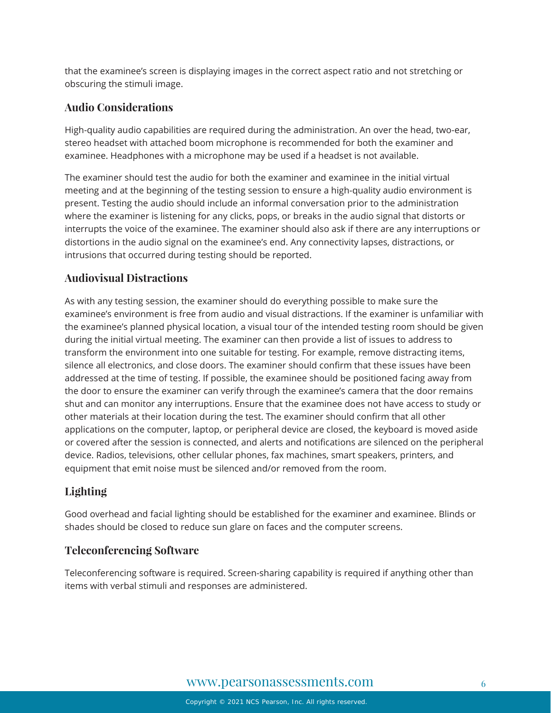that the examinee's screen is displaying images in the correct aspect ratio and not stretching or obscuring the stimuli image.

#### **Audio Considerations**

High-quality audio capabilities are required during the administration. An over the head, two-ear, stereo headset with attached boom microphone is recommended for both the examiner and examinee. Headphones with a microphone may be used if a headset is not available.

The examiner should test the audio for both the examiner and examinee in the initial virtual meeting and at the beginning of the testing session to ensure a high-quality audio environment is present. Testing the audio should include an informal conversation prior to the administration where the examiner is listening for any clicks, pops, or breaks in the audio signal that distorts or interrupts the voice of the examinee. The examiner should also ask if there are any interruptions or distortions in the audio signal on the examinee's end. Any connectivity lapses, distractions, or intrusions that occurred during testing should be reported.

#### **Audiovisual Distractions**

As with any testing session, the examiner should do everything possible to make sure the examinee's environment is free from audio and visual distractions. If the examiner is unfamiliar with the examinee's planned physical location, a visual tour of the intended testing room should be given during the initial virtual meeting. The examiner can then provide a list of issues to address to transform the environment into one suitable for testing. For example, remove distracting items, silence all electronics, and close doors. The examiner should confirm that these issues have been addressed at the time of testing. If possible, the examinee should be positioned facing away from the door to ensure the examiner can verify through the examinee's camera that the door remains shut and can monitor any interruptions. Ensure that the examinee does not have access to study or other materials at their location during the test. The examiner should confirm that all other applications on the computer, laptop, or peripheral device are closed, the keyboard is moved aside or covered after the session is connected, and alerts and notifications are silenced on the peripheral device. Radios, televisions, other cellular phones, fax machines, smart speakers, printers, and equipment that emit noise must be silenced and/or removed from the room.

#### **Lighting**

Good overhead and facial lighting should be established for the examiner and examinee. Blinds or shades should be closed to reduce sun glare on faces and the computer screens.

#### **Teleconferencing Software**

Teleconferencing software is required. Screen-sharing capability is required if anything other than items with verbal stimuli and responses are administered.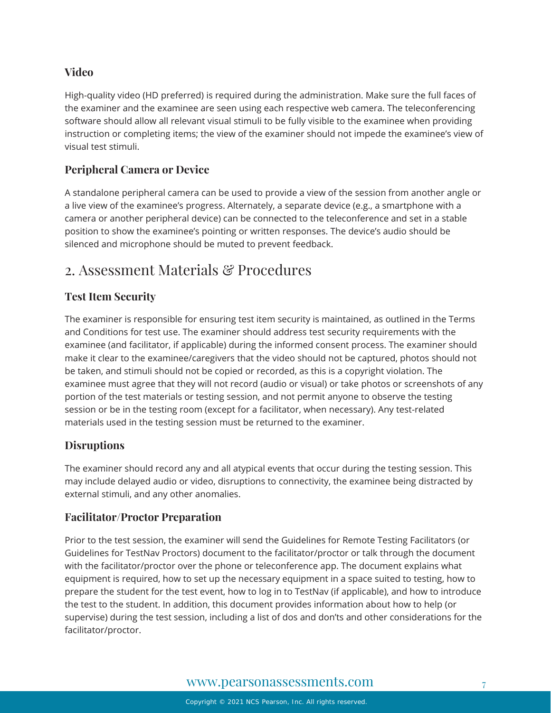#### **Video**

High-quality video (HD preferred) is required during the administration. Make sure the full faces of the examiner and the examinee are seen using each respective web camera. The teleconferencing software should allow all relevant visual stimuli to be fully visible to the examinee when providing instruction or completing items; the view of the examiner should not impede the examinee's view of visual test stimuli.

#### **Peripheral Camera or Device**

A standalone peripheral camera can be used to provide a view of the session from another angle or a live view of the examinee's progress. Alternately, a separate device (e.g., a smartphone with a camera or another peripheral device) can be connected to the teleconference and set in a stable position to show the examinee's pointing or written responses. The device's audio should be silenced and microphone should be muted to prevent feedback.

### <span id="page-6-0"></span>2. Assessment Materials & Procedures

#### **Test Item Security**

The examiner is responsible for ensuring test item security is maintained, as outlined in the Terms and Conditions for test use. The examiner should address test security requirements with the examinee (and facilitator, if applicable) during the informed consent process. The examiner should make it clear to the examinee/caregivers that the video should not be captured, photos should not be taken, and stimuli should not be copied or recorded, as this is a copyright violation. The examinee must agree that they will not record (audio or visual) or take photos or screenshots of any portion of the test materials or testing session, and not permit anyone to observe the testing session or be in the testing room (except for a facilitator, when necessary). Any test-related materials used in the testing session must be returned to the examiner.

#### **Disruptions**

The examiner should record any and all atypical events that occur during the testing session. This may include delayed audio or video, disruptions to connectivity, the examinee being distracted by external stimuli, and any other anomalies.

#### **Facilitator/Proctor Preparation**

Prior to the test session, the examiner will send the Guidelines for Remote Testing Facilitators (or Guidelines for TestNav Proctors) document to the facilitator/proctor or talk through the document with the facilitator/proctor over the phone or teleconference app. The document explains what equipment is required, how to set up the necessary equipment in a space suited to testing, how to prepare the student for the test event, how to log in to TestNav (if applicable), and how to introduce the test to the student. In addition, this document provides information about how to help (or supervise) during the test session, including a list of dos and don'ts and other considerations for the facilitator/proctor.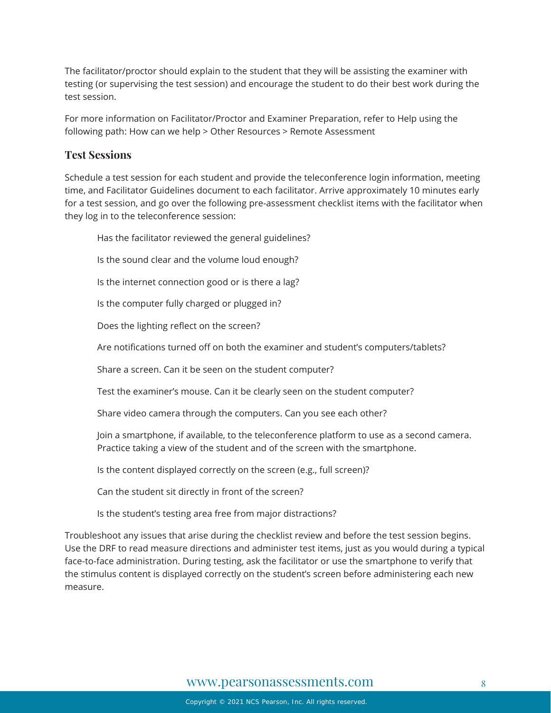The facilitator/proctor should explain to the student that they will be assisting the examiner with testing (or supervising the test session) and encourage the student to do their best work during the test session.

For more information on Facilitator/Proctor and Examiner Preparation, refer to Help using the following path: How can we help > Other Resources > Remote Assessment

#### **Test Sessions**

Schedule a test session for each student and provide the teleconference login information, meeting time, and Facilitator Guidelines document to each facilitator. Arrive approximately 10 minutes early for a test session, and go over the following pre-assessment checklist items with the facilitator when they log in to the teleconference session:

Has the facilitator reviewed the general guidelines?

Is the sound clear and the volume loud enough?

Is the internet connection good or is there a lag?

Is the computer fully charged or plugged in?

Does the lighting reflect on the screen?

Are notifications turned off on both the examiner and student's computers/tablets?

Share a screen. Can it be seen on the student computer?

Test the examiner's mouse. Can it be clearly seen on the student computer?

Share video camera through the computers. Can you see each other?

Join a smartphone, if available, to the teleconference platform to use as a second camera. Practice taking a view of the student and of the screen with the smartphone.

Is the content displayed correctly on the screen (e.g., full screen)?

Can the student sit directly in front of the screen?

Is the student's testing area free from major distractions?

Troubleshoot any issues that arise during the checklist review and before the test session begins. Use the DRF to read measure directions and administer test items, just as you would during a typical face-to-face administration. During testing, ask the facilitator or use the smartphone to verify that the stimulus content is displayed correctly on the student's screen before administering each new measure.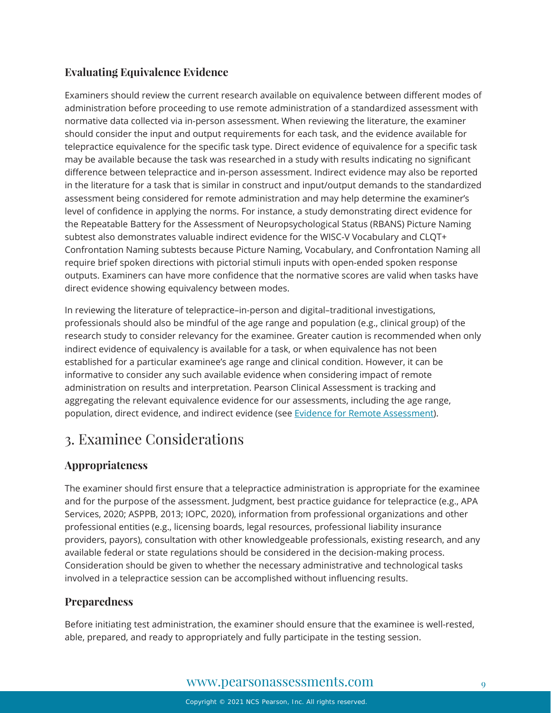#### **Evaluating Equivalence Evidence**

Examiners should review the current research available on equivalence between different modes of administration before proceeding to use remote administration of a standardized assessment with normative data collected via in-person assessment. When reviewing the literature, the examiner should consider the input and output requirements for each task, and the evidence available for telepractice equivalence for the specific task type. Direct evidence of equivalence for a specific task may be available because the task was researched in a study with results indicating no significant difference between telepractice and in-person assessment. Indirect evidence may also be reported in the literature for a task that is similar in construct and input/output demands to the standardized assessment being considered for remote administration and may help determine the examiner's level of confidence in applying the norms. For instance, a study demonstrating direct evidence for the Repeatable Battery for the Assessment of Neuropsychological Status (RBANS) Picture Naming subtest also demonstrates valuable indirect evidence for the WISC-V Vocabulary and CLQT+ Confrontation Naming subtests because Picture Naming, Vocabulary, and Confrontation Naming all require brief spoken directions with pictorial stimuli inputs with open-ended spoken response outputs. Examiners can have more confidence that the normative scores are valid when tasks have direct evidence showing equivalency between modes.

In reviewing the literature of telepractice–in-person and digital–traditional investigations, professionals should also be mindful of the age range and population (e.g., clinical group) of the research study to consider relevancy for the examinee. Greater caution is recommended when only indirect evidence of equivalency is available for a task, or when equivalence has not been established for a particular examinee's age range and clinical condition. However, it can be informative to consider any such available evidence when considering impact of remote administration on results and interpretation. Pearson Clinical Assessment is tracking and aggregating the relevant equivalence evidence for our assessments, including the age range, population, direct evidence, and indirect evidence (see [Evidence for Remote Assessment\)](https://www.pearsonassessments.com/content/dam/school/global/clinical/us/assets/telepractice/equivalence-evidence-for-remote-assessment.pdf).

# <span id="page-8-0"></span>3. Examinee Considerations

#### **Appropriateness**

The examiner should first ensure that a telepractice administration is appropriate for the examinee and for the purpose of the assessment. Judgment, best practice guidance for telepractice (e.g., APA Services, 2020; ASPPB, 2013; IOPC, 2020), information from professional organizations and other professional entities (e.g., licensing boards, legal resources, professional liability insurance providers, payors), consultation with other knowledgeable professionals, existing research, and any available federal or state regulations should be considered in the decision-making process. Consideration should be given to whether the necessary administrative and technological tasks involved in a telepractice session can be accomplished without influencing results.

#### **Preparedness**

Before initiating test administration, the examiner should ensure that the examinee is well-rested, able, prepared, and ready to appropriately and fully participate in the testing session.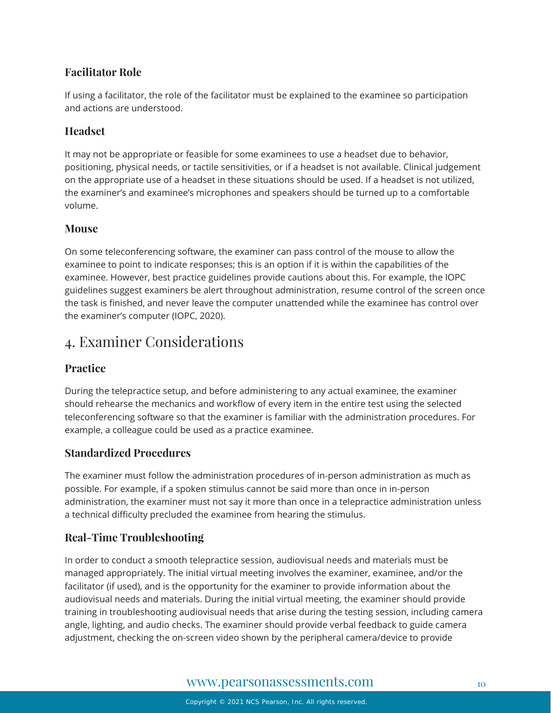#### **Facilitator Role**

If using a facilitator, the role of the facilitator must be explained to the examinee so participation and actions are understood.

#### **Headset**

It may not be appropriate or feasible for some examinees to use a headset due to behavior, positioning, physical needs, or tactile sensitivities, or if a headset is not available. Clinical judgement on the appropriate use of a headset in these situations should be used. If a headset is not utilized, the examiner's and examinee's microphones and speakers should be turned up to a comfortable volume.

#### **Mouse**

On some teleconferencing software, the examiner can pass control of the mouse to allow the examinee to point to indicate responses; this is an option if it is within the capabilities of the examinee. However, best practice guidelines provide cautions about this. For example, the IOPC guidelines suggest examiners be alert throughout administration, resume control of the screen once the task is finished, and never leave the computer unattended while the examinee has control over the examiner's computer (IOPC, 2020).

# <span id="page-9-0"></span>4. Examiner Considerations

#### **Practice**

During the telepractice setup, and before administering to any actual examinee, the examiner should rehearse the mechanics and workflow of every item in the entire test using the selected teleconferencing software so that the examiner is familiar with the administration procedures. For example, a colleague could be used as a practice examinee.

#### **Standardized Procedures**

The examiner must follow the administration procedures of in-person administration as much as possible. For example, if a spoken stimulus cannot be said more than once in in-person administration, the examiner must not say it more than once in a telepractice administration unless a technical difficulty precluded the examinee from hearing the stimulus.

#### **Real-Time Troubleshooting**

In order to conduct a smooth telepractice session, audiovisual needs and materials must be managed appropriately. The initial virtual meeting involves the examiner, examinee, and/or the facilitator (if used), and is the opportunity for the examiner to provide information about the audiovisual needs and materials. During the initial virtual meeting, the examiner should provide training in troubleshooting audiovisual needs that arise during the testing session, including camera angle, lighting, and audio checks. The examiner should provide verbal feedback to guide camera adjustment, checking the on-screen video shown by the peripheral camera/device to provide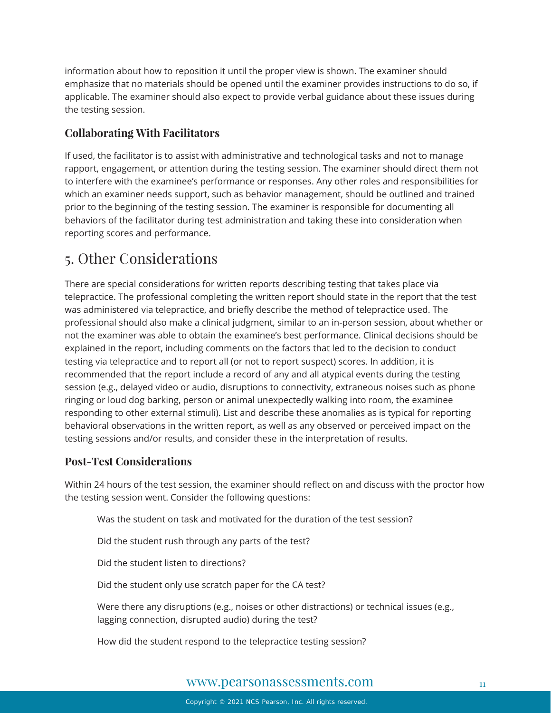information about how to reposition it until the proper view is shown. The examiner should emphasize that no materials should be opened until the examiner provides instructions to do so, if applicable. The examiner should also expect to provide verbal guidance about these issues during the testing session.

#### **Collaborating With Facilitators**

If used, the facilitator is to assist with administrative and technological tasks and not to manage rapport, engagement, or attention during the testing session. The examiner should direct them not to interfere with the examinee's performance or responses. Any other roles and responsibilities for which an examiner needs support, such as behavior management, should be outlined and trained prior to the beginning of the testing session. The examiner is responsible for documenting all behaviors of the facilitator during test administration and taking these into consideration when reporting scores and performance.

# <span id="page-10-0"></span>5. Other Considerations

There are special considerations for written reports describing testing that takes place via telepractice. The professional completing the written report should state in the report that the test was administered via telepractice, and briefly describe the method of telepractice used. The professional should also make a clinical judgment, similar to an in-person session, about whether or not the examiner was able to obtain the examinee's best performance. Clinical decisions should be explained in the report, including comments on the factors that led to the decision to conduct testing via telepractice and to report all (or not to report suspect) scores. In addition, it is recommended that the report include a record of any and all atypical events during the testing session (e.g., delayed video or audio, disruptions to connectivity, extraneous noises such as phone ringing or loud dog barking, person or animal unexpectedly walking into room, the examinee responding to other external stimuli). List and describe these anomalies as is typical for reporting behavioral observations in the written report, as well as any observed or perceived impact on the testing sessions and/or results, and consider these in the interpretation of results.

#### **Post-Test Considerations**

Within 24 hours of the test session, the examiner should reflect on and discuss with the proctor how the testing session went. Consider the following questions:

- Was the student on task and motivated for the duration of the test session?
- Did the student rush through any parts of the test?
- Did the student listen to directions?
- Did the student only use scratch paper for the CA test?
- Were there any disruptions (e.g., noises or other distractions) or technical issues (e.g., lagging connection, disrupted audio) during the test?
- How did the student respond to the telepractice testing session?

#### [www.pearsonassessments.com](http://www.pearsonassessments.com/) 11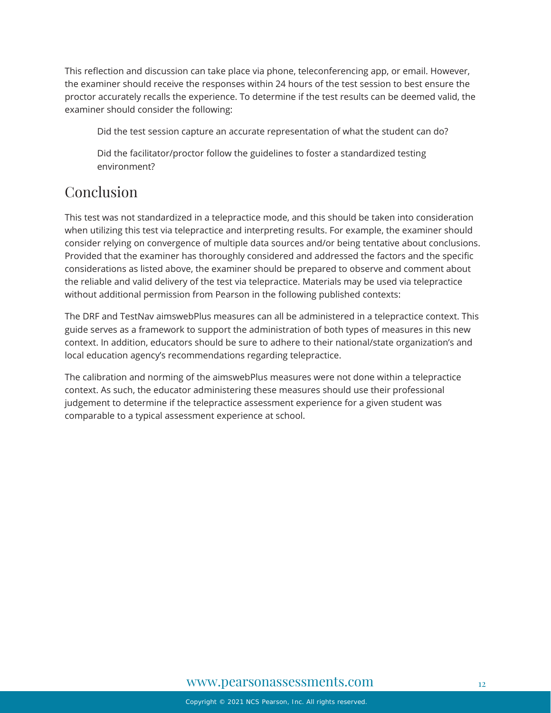This reflection and discussion can take place via phone, teleconferencing app, or email. However, the examiner should receive the responses within 24 hours of the test session to best ensure the proctor accurately recalls the experience. To determine if the test results can be deemed valid, the examiner should consider the following:

Did the test session capture an accurate representation of what the student can do?

Did the facilitator/proctor follow the guidelines to foster a standardized testing environment?

# Conclusion

This test was not standardized in a telepractice mode, and this should be taken into consideration when utilizing this test via telepractice and interpreting results. For example, the examiner should consider relying on convergence of multiple data sources and/or being tentative about conclusions. Provided that the examiner has thoroughly considered and addressed the factors and the specific considerations as listed above, the examiner should be prepared to observe and comment about the reliable and valid delivery of the test via telepractice. Materials may be used via telepractice without additional permission from Pearson in the following published contexts:

The DRF and TestNav aimswebPlus measures can all be administered in a telepractice context. This guide serves as a framework to support the administration of both types of measures in this new context. In addition, educators should be sure to adhere to their national/state organization's and local education agency's recommendations regarding telepractice.

The calibration and norming of the aimswebPlus measures were not done within a telepractice context. As such, the educator administering these measures should use their professional judgement to determine if the telepractice assessment experience for a given student was comparable to a typical assessment experience at school.